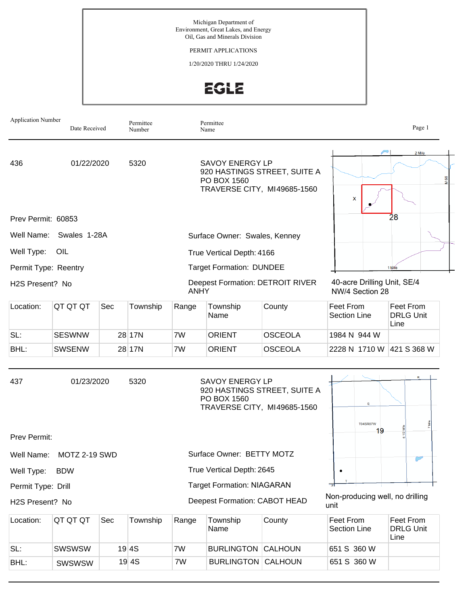PERMIT APPLICATIONS

1/20/2020 THRU 1/24/2020

EGLE

| <b>Application Number</b> | Date Received                                           |     | Permittee<br>Number |             | Permittee<br>Name                     |                                                             |                                                | Page 1                                |  |
|---------------------------|---------------------------------------------------------|-----|---------------------|-------------|---------------------------------------|-------------------------------------------------------------|------------------------------------------------|---------------------------------------|--|
| 436                       | 01/22/2020                                              |     | 5320                |             | <b>SAVOY ENERGY LP</b><br>PO BOX 1560 | 920 HASTINGS STREET, SUITE A<br>TRAVERSE CITY, MI49685-1560 | X                                              | 2 Mile                                |  |
| Prev Permit: 60853        |                                                         |     |                     |             |                                       |                                                             |                                                | 28                                    |  |
|                           | Well Name: Swales 1-28A                                 |     |                     |             | Surface Owner: Swales, Kenney         |                                                             |                                                |                                       |  |
| Well Type:                | OIL                                                     |     |                     |             | True Vertical Depth: 4166             |                                                             |                                                |                                       |  |
|                           | <b>Target Formation: DUNDEE</b><br>Permit Type: Reentry |     |                     |             |                                       |                                                             |                                                | 1 Mile                                |  |
| H2S Present? No           |                                                         |     |                     | <b>ANHY</b> |                                       | <b>Deepest Formation: DETROIT RIVER</b>                     | 40-acre Drilling Unit, SE/4<br>NW/4 Section 28 |                                       |  |
| Location:                 | QT QT QT                                                | Sec | Township            | Range       | Township<br>Name                      | County                                                      | Feet From<br><b>Section Line</b>               | Feet From<br><b>DRLG Unit</b><br>Line |  |
| SL:                       | <b>SESWNW</b>                                           |     | 28 17N              | 7W          | <b>ORIENT</b>                         | <b>OSCEOLA</b>                                              | 1984 N 944 W                                   |                                       |  |
| BHL:                      | <b>SWSENW</b>                                           |     | 28 17N              | 7W          | <b>ORIENT</b>                         | <b>OSCEOLA</b>                                              | 2228 N 1710 W                                  | 421 S 368 W                           |  |
| 437                       | 01/23/2020                                              |     | 5320                |             | <b>SAVOY ENERGY LP</b><br>PO BOX 1560 | 920 HASTINGS STREET, SUITE A<br>TRAVERSE CITY, MI49685-1560 | s<br><b>T04SR07W</b>                           | 7 Mile                                |  |
| Prev Permit:              |                                                         |     |                     |             |                                       |                                                             | 19                                             | Ñ                                     |  |
| Well Name:                | MOTZ 2-19 SWD                                           |     |                     |             | Surface Owner: BETTY MOTZ             |                                                             |                                                |                                       |  |
| Well Type:                | <b>BDW</b>                                              |     |                     |             | True Vertical Depth: 2645             |                                                             | ٠                                              |                                       |  |
| Permit Type: Drill        |                                                         |     |                     |             | <b>Target Formation: NIAGARAN</b>     |                                                             |                                                |                                       |  |
| H2S Present? No           |                                                         |     |                     |             | Deepest Formation: CABOT HEAD         |                                                             | Non-producing well, no drilling<br>unit        |                                       |  |
| Location:                 | QT QT QT                                                | Sec | Township            | Range       | Township<br>Name                      | County                                                      | Feet From<br>Section Line                      | Feet From<br><b>DRLG Unit</b><br>Line |  |
| SL:                       | SWSWSW                                                  |     | 19 4S               | 7W          | <b>BURLINGTON CALHOUN</b>             |                                                             | 651 S 360 W                                    |                                       |  |

SWSWSW 19 4S 7W BURLINGTON CALHOUN 651 S 360 W

BHL: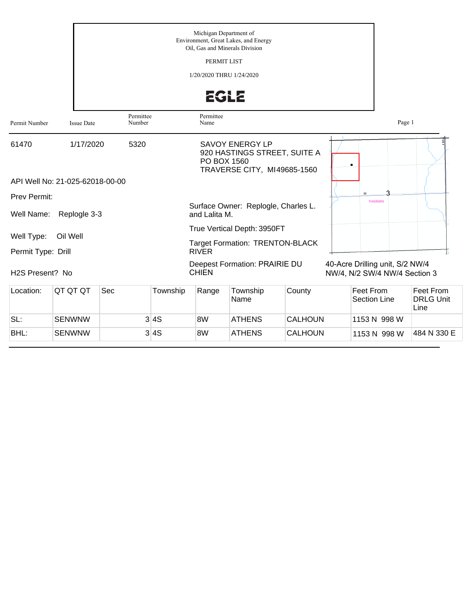|                                  |                                 |                     |          | Michigan Department of<br>PERMIT LIST<br>1/20/2020 THRU 1/24/2020 | Environment, Great Lakes, and Energy<br>Oil, Gas and Minerals Division<br><b>EGLE</b>                |                |                                                                  |                                       |
|----------------------------------|---------------------------------|---------------------|----------|-------------------------------------------------------------------|------------------------------------------------------------------------------------------------------|----------------|------------------------------------------------------------------|---------------------------------------|
| Permit Number                    | <b>Issue Date</b>               | Permittee<br>Number |          | Permittee<br>Name                                                 |                                                                                                      |                | Page 1                                                           |                                       |
| 61470                            | 1/17/2020                       | 5320                |          |                                                                   | <b>SAVOY ENERGY LP</b><br>920 HASTINGS STREET, SUITE A<br>PO BOX 1560<br>TRAVERSE CITY, MI49685-1560 |                |                                                                  |                                       |
|                                  | API Well No: 21-025-62018-00-00 |                     |          |                                                                   |                                                                                                      |                |                                                                  |                                       |
| Prev Permit:                     |                                 |                     |          |                                                                   |                                                                                                      |                | <b>T04SR08W</b>                                                  |                                       |
| Well Name:                       | Replogle 3-3                    |                     |          | and Lalita M.                                                     | Surface Owner: Replogle, Charles L.                                                                  |                |                                                                  |                                       |
| Well Type:<br>Permit Type: Drill | Oil Well                        |                     |          | <b>RIVER</b>                                                      | True Vertical Depth: 3950FT<br><b>Target Formation: TRENTON-BLACK</b>                                |                |                                                                  |                                       |
| H <sub>2</sub> S Present? No     |                                 |                     |          | <b>CHIEN</b>                                                      | Deepest Formation: PRAIRIE DU                                                                        |                | 40-Acre Drilling unit, S/2 NW/4<br>NW/4, N/2 SW/4 NW/4 Section 3 |                                       |
| Location:                        | QT QT QT                        | Sec                 | Township | Range                                                             | Township<br>Name                                                                                     | County         | Feet From<br>Section Line                                        | Feet From<br><b>DRLG Unit</b><br>Line |
| SL:                              | <b>SENWNW</b>                   |                     | 3 4S     | 8W                                                                | <b>ATHENS</b>                                                                                        | CALHOUN        | 1153 N 998 W                                                     |                                       |
| BHL:                             | <b>SENWNW</b>                   |                     | 3 4S     | 8W                                                                | <b>ATHENS</b>                                                                                        | <b>CALHOUN</b> | 1153 N 998 W                                                     | 484 N 330 E                           |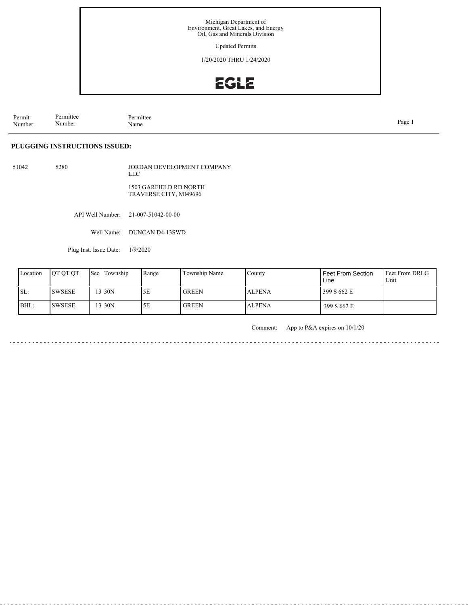Updated Permits

1/20/2020 THRU 1/24/2020

# EGLE

Permit Number Permittee Number Permittee<br>Name Name Page 1

**PLUGGING INSTRUCTIONS ISSUED:**

51042 5280 JORDAN DEVELOPMENT COMPANY LLC 1503 GARFIELD RD NORTH TRAVERSE CITY, MI49696

API Well Number: 21-007-51042-00-00

Well Name: DUNCAN D4-13SWD

Plug Inst. Issue Date: 1/9/2020

| Location | <b>OT OT OT</b> | <b>Sec Township</b> | Range | Township Name | County        | Feet From Section<br>Line | <b>Feet From DRLG</b><br>Unit |
|----------|-----------------|---------------------|-------|---------------|---------------|---------------------------|-------------------------------|
| ISL:     | <b>SWSESE</b>   | $3$ 30N             | 5Ε    | <b>GREEN</b>  | <b>ALPENA</b> | 399 S 662 E               |                               |
| BHL:     | <b>SWSESE</b>   | 13130N              | 5Ε    | <b>GREEN</b>  | <b>ALPENA</b> | 399 S 662 E               |                               |

Comment: App to P&A expires on 10/1/20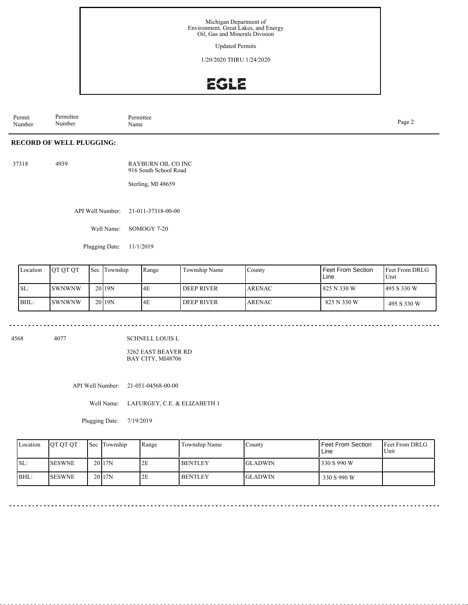Updated Permits

1/20/2020 THRU 1/24/2020

# EGLE

Permit Number Permittee Number Permittee<br>Name Page 2<br>Name

### **RECORD OF WELL PLUGGING:**

| 37318 | 4939 | RAYBURN OIL CO INC    |
|-------|------|-----------------------|
|       |      | 916 South School Road |

Sterling, MI 48659

API Well Number: 21-011-37318-00-00

Well Name: SOMOGY 7-20

Plugging Date: 11/1/2019

| Location | <b>IOT OT OT</b> | Sec Township      | Range | Township Name | County         | Feet From Section<br>Line | <b>IFeet From DRLG</b><br>Unit |
|----------|------------------|-------------------|-------|---------------|----------------|---------------------------|--------------------------------|
| SL:      | ISWNWNW          | 20 <sub>19N</sub> | 4E    | l deep river  | <b>LARENAC</b> | 825 N 330 W               | 495 S 330 W                    |
| BHL:     | ISWNWNW          | 20 <sub>19N</sub> | 14E   | l deep river  | <b>LARENAC</b> | 825 N 330 W               | 495 S 330 W                    |

4568 4077

SCHNELL LOUIS L

3262 EAST BEAVER RD BAY CITY, MI48706

API Well Number: 21-051-04568-00-00

Well Name: LAFURGEY, C.E. & ELIZABETH 1

Plugging Date: 7/19/2019

| Location | <b>OT OT OT</b> | <b>Sec Township</b> | Range | Township Name  | County         | Feet From Section<br>Line | <b>Feet From DRLG</b><br>Unit |
|----------|-----------------|---------------------|-------|----------------|----------------|---------------------------|-------------------------------|
| ISL:     | <b>SESWNE</b>   | 20 17N              | 2E    | <b>BENTLEY</b> | <b>GLADWIN</b> | 330 S 990 W               |                               |
| BHL:     | <b>SESWNE</b>   | 20 17N              | 2E    | <b>BENTLEY</b> | <b>GLADWIN</b> | 330 S 990 W               |                               |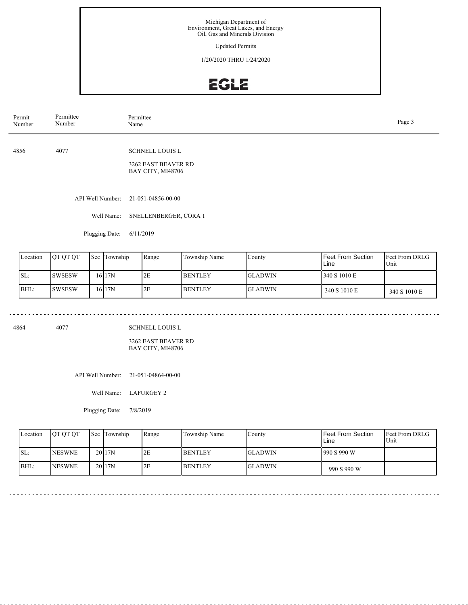Updated Permits

1/20/2020 THRU 1/24/2020

# EGLE

| Permit<br>Number | Permittee<br>Number | Permittee<br>Page 3<br>Name                                        |  |  |  |  |  |
|------------------|---------------------|--------------------------------------------------------------------|--|--|--|--|--|
| 4856             | 4077                | <b>SCHNELL LOUIS L</b><br>3262 EAST BEAVER RD<br>BAY CITY, MI48706 |  |  |  |  |  |
|                  | API Well Number:    | 21-051-04856-00-00                                                 |  |  |  |  |  |
|                  | Well Name:          | SNELLENBERGER, CORA 1                                              |  |  |  |  |  |
|                  | Plugging Date:      | 6/11/2019                                                          |  |  |  |  |  |

| Location | <b>IOT OT OT</b> | <b>Sec</b> | Township  | Range | Township Name  | County         | Feet From Section<br>Line | <b>Feet From DRLG</b><br>Unit |
|----------|------------------|------------|-----------|-------|----------------|----------------|---------------------------|-------------------------------|
| ISL:     | <b>ISWSESW</b>   |            | 16 I 17 N | 2E    | <b>BENTLEY</b> | <b>GLADWIN</b> | 340 S 1010 E              |                               |
| BHL:     | <b>SWSESW</b>    |            | 16 17N    | 2E    | <b>BENTLEY</b> | <b>GLADWIN</b> | 340 S 1010 E              | 340 S 1010 E                  |

4864 4077

SCHNELL LOUIS L

3262 EAST BEAVER RD BAY CITY, MI48706

API Well Number: 21-051-04864-00-00

Well Name: LAFURGEY 2

Plugging Date: 7/8/2019

| Location | <b>OT OT OT</b> | <b>Sec</b> Township | Range | Township Name  | County         | <b>Feet From Section</b><br>Line | <b>Feet From DRLG</b><br>Unit |
|----------|-----------------|---------------------|-------|----------------|----------------|----------------------------------|-------------------------------|
| SL:      | <b>NESWNE</b>   | 2017N               | 2E    | <b>BENTLEY</b> | <b>GLADWIN</b> | 990 S 990 W                      |                               |
| BHL:     | <b>NESWNE</b>   | 20117N              | 2E    | <b>BENTLEY</b> | <b>GLADWIN</b> | 990 S 990 W                      |                               |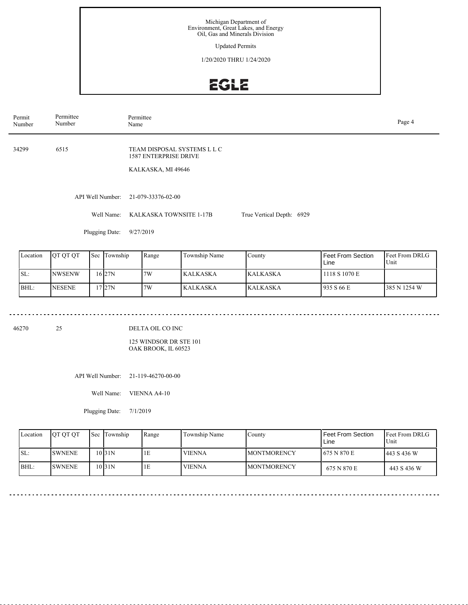Updated Permits

1/20/2020 THRU 1/24/2020

# EGLE

| Permittee<br>Number | Permittee<br>Page 4<br>Name                                                       |                           |  |  |  |  |  |  |
|---------------------|-----------------------------------------------------------------------------------|---------------------------|--|--|--|--|--|--|
| 6515                | TEAM DISPOSAL SYSTEMS L L C<br><b>1587 ENTERPRISE DRIVE</b><br>KALKASKA, MI 49646 |                           |  |  |  |  |  |  |
| API Well Number:    | 21-079-33376-02-00                                                                |                           |  |  |  |  |  |  |
| Well Name:          | KALKASKA TOWNSITE 1-17B                                                           | True Vertical Depth: 6929 |  |  |  |  |  |  |
|                     |                                                                                   |                           |  |  |  |  |  |  |

Plugging Date: 9/27/2019

<u>. . . . . . . .</u>

| Location | IOT OT OT     | <b>Sec</b> | Township | Range | Township Name   | County          | Feet From Section<br>Line | <b>Feet From DRLG</b><br>Unit |
|----------|---------------|------------|----------|-------|-----------------|-----------------|---------------------------|-------------------------------|
| ISL:     | <b>NWSENW</b> |            | 16 27N   | 7W    | <b>KALKASKA</b> | <b>KALKASKA</b> | 1118 S 1070 E             |                               |
| BHL:     | <b>NESENE</b> |            | 17 27N   | 7W    | <b>KALKASKA</b> | <b>KALKASKA</b> | 935 S 66 E                | 385 N 1254 W                  |

46270 25

<u>o dia dia dia dia</u>

DELTA OIL CO INC

125 WINDSOR DR STE 101 OAK BROOK, IL 60523

<u>a da da da da</u>

API Well Number: 21-119-46270-00-00

Well Name: VIENNA A4-10

Plugging Date: 7/1/2019

| Location | <b>IOT OT OT</b> | l Sec | Township  | Range | Township Name | County              | <b>Feet From Section</b><br>Line | <b>IFeet From DRLG</b><br>Unit |
|----------|------------------|-------|-----------|-------|---------------|---------------------|----------------------------------|--------------------------------|
| ISL:     | <b>ISWNENE</b>   |       | 10 I 31 N | ΙE    | <b>VIENNA</b> | <b>IMONTMORENCY</b> | 1675 N 870 E                     | 1443 S 436 W                   |
| BHL:     | <b>ISWNENE</b>   |       | 10 31 N   | ΙE    | <b>VIENNA</b> | <b>MONTMORENCY</b>  | 675 N 870 E                      | 443 S 436 W                    |